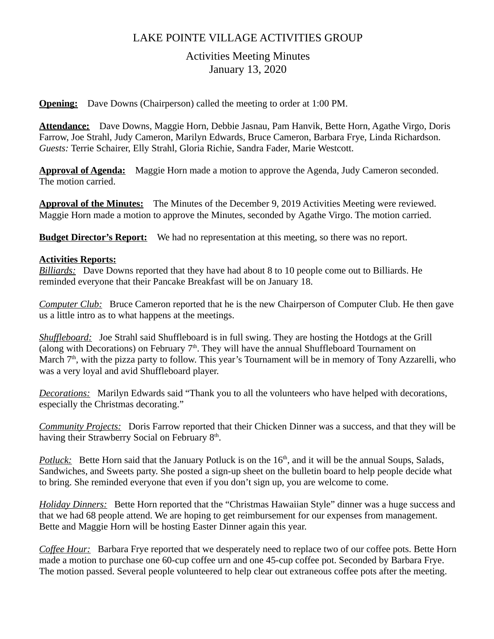# LAKE POINTE VILLAGE ACTIVITIES GROUP

## Activities Meeting Minutes January 13, 2020

**Opening:** Dave Downs (Chairperson) called the meeting to order at 1:00 PM.

**Attendance:** Dave Downs, Maggie Horn, Debbie Jasnau, Pam Hanvik, Bette Horn, Agathe Virgo, Doris Farrow, Joe Strahl, Judy Cameron, Marilyn Edwards, Bruce Cameron, Barbara Frye, Linda Richardson. *Guests:* Terrie Schairer, Elly Strahl, Gloria Richie, Sandra Fader, Marie Westcott.

**Approval of Agenda:** Maggie Horn made a motion to approve the Agenda, Judy Cameron seconded. The motion carried.

**Approval of the Minutes:** The Minutes of the December 9, 2019 Activities Meeting were reviewed. Maggie Horn made a motion to approve the Minutes, seconded by Agathe Virgo. The motion carried.

**Budget Director's Report:** We had no representation at this meeting, so there was no report.

### **Activities Reports:**

*Billiards:* Dave Downs reported that they have had about 8 to 10 people come out to Billiards. He reminded everyone that their Pancake Breakfast will be on January 18.

*Computer Club:* Bruce Cameron reported that he is the new Chairperson of Computer Club. He then gave us a little intro as to what happens at the meetings.

*Shuffleboard:* Joe Strahl said Shuffleboard is in full swing. They are hosting the Hotdogs at the Grill (along with Decorations) on February  $7<sup>th</sup>$ . They will have the annual Shuffleboard Tournament on March 7<sup>th</sup>, with the pizza party to follow. This year's Tournament will be in memory of Tony Azzarelli, who was a very loyal and avid Shuffleboard player.

*Decorations:* Marilyn Edwards said "Thank you to all the volunteers who have helped with decorations, especially the Christmas decorating."

*Community Projects:* Doris Farrow reported that their Chicken Dinner was a success, and that they will be having their Strawberry Social on February 8<sup>th</sup>.

*Potluck:* Bette Horn said that the January Potluck is on the 16<sup>th</sup>, and it will be the annual Soups, Salads, Sandwiches, and Sweets party. She posted a sign-up sheet on the bulletin board to help people decide what to bring. She reminded everyone that even if you don't sign up, you are welcome to come.

*Holiday Dinners:* Bette Horn reported that the "Christmas Hawaiian Style" dinner was a huge success and that we had 68 people attend. We are hoping to get reimbursement for our expenses from management. Bette and Maggie Horn will be hosting Easter Dinner again this year.

*Coffee Hour:* Barbara Frye reported that we desperately need to replace two of our coffee pots. Bette Horn made a motion to purchase one 60-cup coffee urn and one 45-cup coffee pot. Seconded by Barbara Frye. The motion passed. Several people volunteered to help clear out extraneous coffee pots after the meeting.